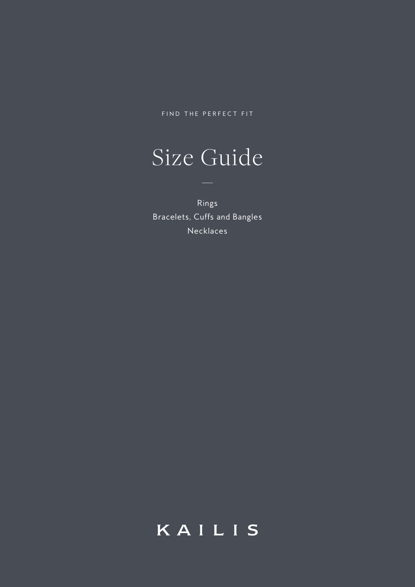FIND THE PERFECT FIT

# Size Guide

Rings Bracelets, Cuffs and Bangles Necklaces

## KAILIS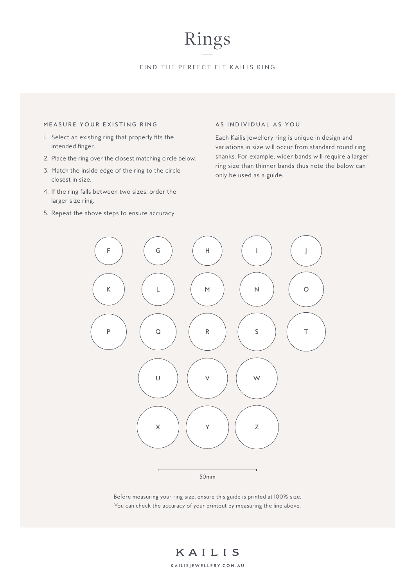## Rings

### FIND THE PERFECT FIT KAILIS RING

#### MEASURE YOUR EXISTING RING

- 1. Select an existing ring that properly fits the intended finger.
- 2. Place the ring over the closest matching circle below.
- 3. Match the inside edge of the ring to the circle closest in size.
- 4. If the ring falls between two sizes, order the larger size ring.
- 5. Repeat the above steps to ensure accuracy.

#### AS INDIVIDUAL AS YOU

Each Kailis Jewellery ring is unique in design and variations in size will occur from standard round ring shanks. For example, wider bands will require a larger ring size than thinner bands thus note the below can only be used as a guide.



Before measuring your ring size, ensure this guide is printed at 100% size. You can check the accuracy of your printout by measuring the line above.

**KA IL ISJEWELLERY.COM.AU**

KAILIS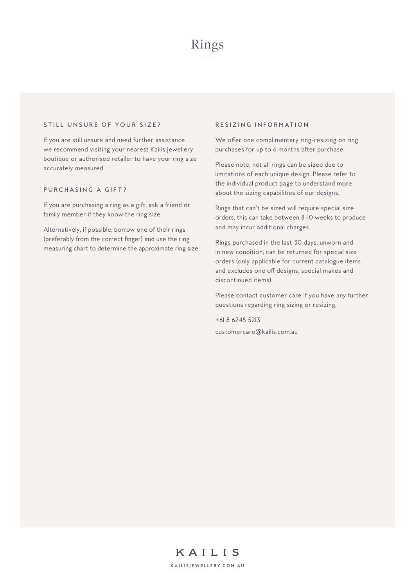#### STILL UNSURE OF YOUR SIZE?

If you are still unsure and need further assistance we recommend visiting your nearest Kailis Jewellery boutique or authorised retailer to have your ring size accurately measured.

### PURCHASING A GIFT?

If you are purchasing a ring as a gift, ask a friend or family member if they know the ring size.

Alternatively, if possible, borrow one of their rings (preferably from the correct finger) and use the ring measuring chart to determine the approximate ring size.

#### RESIZING INFORMATION

We offer one complimentary ring-resizing on ring purchases for up to 6 months after purchase.

Please note, not all rings can be sized due to limitations of each unique design. Please refer to the individual product page to understand more about the sizing capabilities of our designs.

Rings that can't be sized will require special size orders, this can take between 8-10 weeks to produce and may incur additional charges.

Rings purchased in the last 30 days, unworn and in new condition, can be returned for special size orders (only applicable for current catalogue items and excludes one off designs, special makes and discontinued items).

Please contact customer care if you have any further questions regarding ring sizing or resizing.

+61 8 6245 5213 customercare@kailis.com.au

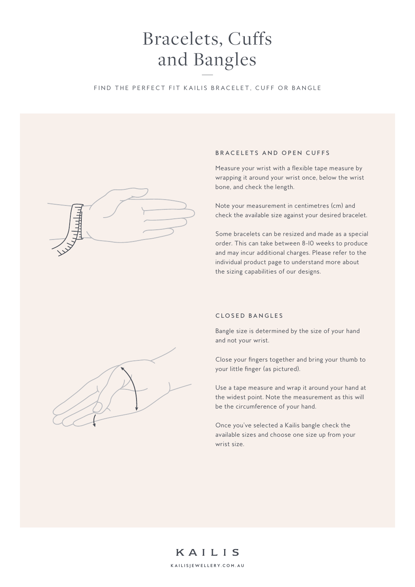## Bracelets, Cuffs and Bangles

### FIND THE PERFECT FIT KAILIS BRACELET, CUFF OR BANGLE



#### BRACELETS AND OPEN CUFFS

Measure your wrist with a flexible tape measure by wrapping it around your wrist once, below the wrist bone, and check the length.

Note your measurement in centimetres (cm) and check the available size against your desired bracelet.

Some bracelets can be resized and made as a special order. This can take between 8-10 weeks to produce and may incur additional charges. Please refer to the individual product page to understand more about the sizing capabilities of our designs.

## C LO S E D B A N G L E S

Bangle size is determined by the size of your hand and not your wrist.

Close your fingers together and bring your thumb to your little finger (as pictured).

Use a tape measure and wrap it around your hand at the widest point. Note the measurement as this will be the circumference of your hand.

Once you've selected a Kailis bangle check the available sizes and choose one size up from your wrist size.